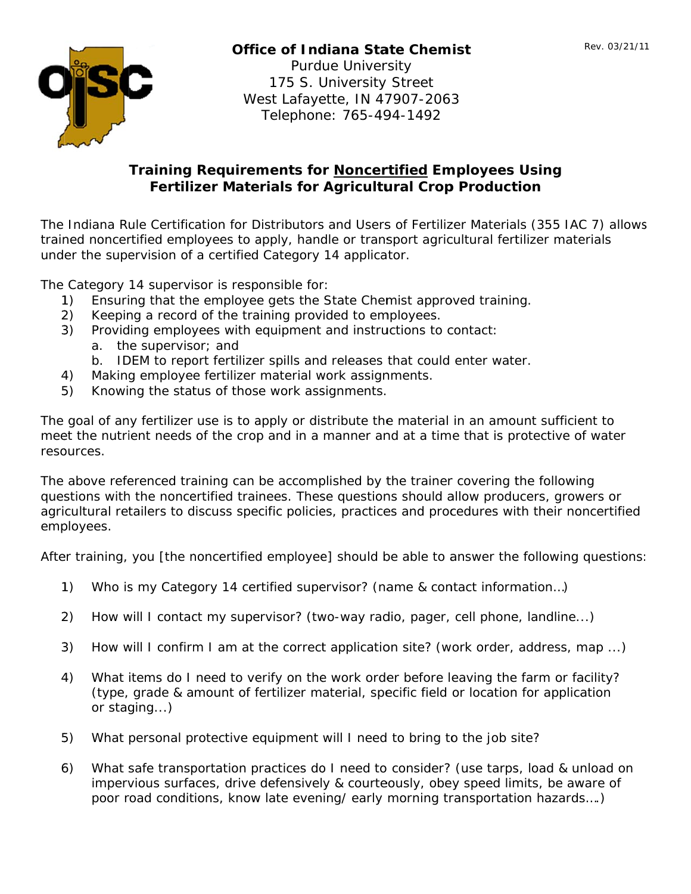

## **Office of Indiana State Chemist**

**Purdue University** 175 S. University Street West Lafayette, IN 47907-2063 Telephone: 765-494-1492

## **Training Requirements for Noncertified Employees Using Fertilizer Materials for Agricultural Crop Production**

The Indiana Rule Certification for Distributors and Users of Fertilizer Materials (355 IAC 7) allows trained noncertified employees to apply, handle or transport agricultural fertilizer materials under the supervision of a certified Category 14 applicator.

The Category 14 supervisor is responsible for:

- 1) Ensuring that the employee gets the State Chemist approved training.
- $(2)$ Keeping a record of the training provided to employees.
- Providing employees with equipment and instructions to contact:  $3)$ 
	- a. the supervisor; and
	- b. IDEM to report fertilizer spills and releases that could enter water.
- Making employee fertilizer material work assignments. 4)
- Knowing the status of those work assignments.  $5)$

The goal of any fertilizer use is to apply or distribute the material in an amount sufficient to meet the nutrient needs of the crop and in a manner and at a time that is protective of water resources.

The above referenced training can be accomplished by the trainer covering the following questions with the noncertified trainees. These questions should allow producers, growers or agricultural retailers to discuss specific policies, practices and procedures with their noncertified employees.

After training, you *[the noncertified employee]* should be able to answer the following questions:

- $1)$ Who is my Category 14 certified supervisor? (name & contact information...)
- How will I contact my supervisor? (two-way radio, pager, cell phone, landline...)  $(2)$
- $3)$ How will I confirm I am at the correct application site? (work order, address, map ...)
- 4) What items do I need to verify on the work order before leaving the farm or facility? (type, grade & amount of fertilizer material, specific field or location for application or staging...)
- What personal protective equipment will I need to bring to the job site? 5)
- What safe transportation practices do I need to consider? (use tarps, load & unload on 6) impervious surfaces, drive defensively & courteously, obey speed limits, be aware of poor road conditions, know late evening/ early morning transportation hazards....)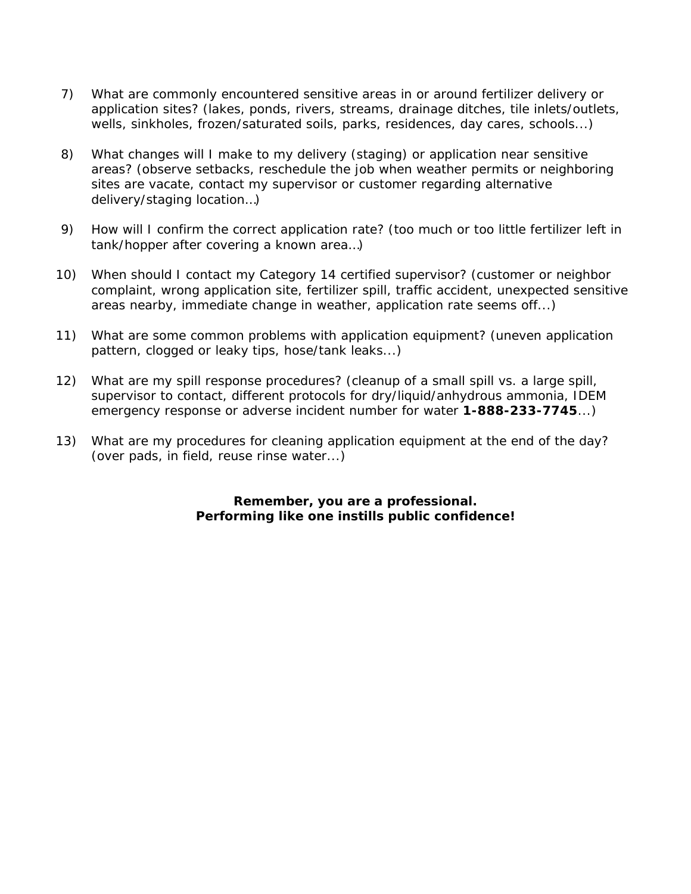- 7) What are commonly encountered sensitive areas in or around fertilizer delivery or application sites? (lakes, ponds, rivers, streams, drainage ditches, tile inlets/outlets, wells, sinkholes, frozen/saturated soils, parks, residences, day cares, schools...)
- 8) What changes will I make to my delivery (staging) or application near sensitive areas? (observe setbacks, reschedule the job when weather permits or neighboring sites are vacate, contact my supervisor or customer regarding alternative delivery/staging location…)
- 9) How will I confirm the correct application rate? (too much or too little fertilizer left in tank/hopper after covering a known area…)
- 10) When should I contact my Category 14 certified supervisor? (customer or neighbor complaint, wrong application site, fertilizer spill, traffic accident, unexpected sensitive areas nearby, immediate change in weather, application rate seems off...)
- 11) What are some common problems with application equipment? (uneven application pattern, clogged or leaky tips, hose/tank leaks...)
- 12) What are my spill response procedures? (cleanup of a small spill vs. a large spill, supervisor to contact, different protocols for dry/liquid/anhydrous ammonia, IDEM emergency response or adverse incident number for water **1-888-233-7745**...)
- 13) What are my procedures for cleaning application equipment at the end of the day? (over pads, in field, reuse rinse water...)

**Remember, you are a professional. Performing like one instills public confidence!**